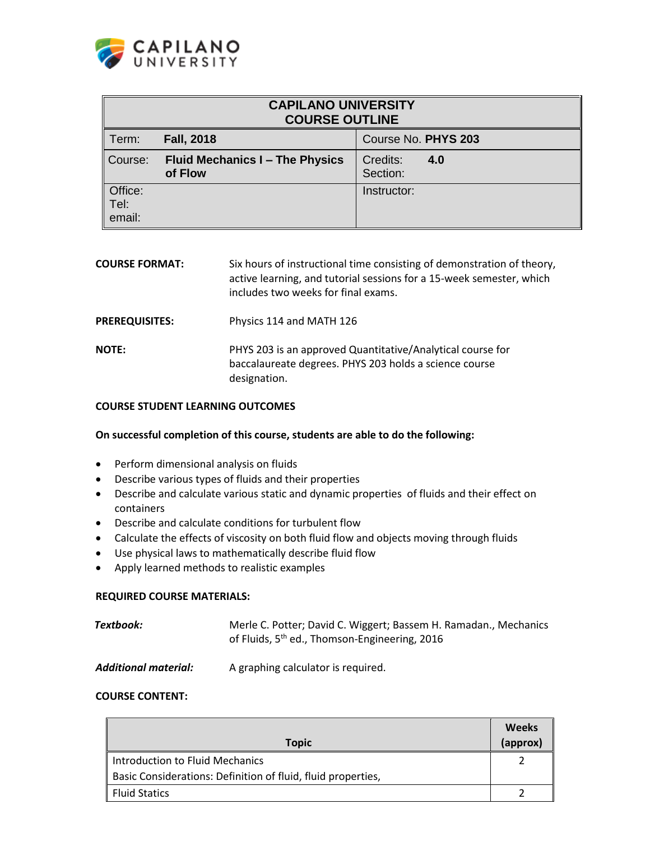

| <b>CAPILANO UNIVERSITY</b><br><b>COURSE OUTLINE</b> |                                                   |                             |  |
|-----------------------------------------------------|---------------------------------------------------|-----------------------------|--|
| Term:                                               | <b>Fall, 2018</b>                                 | Course No. PHYS 203         |  |
| Course:                                             | <b>Fluid Mechanics I - The Physics</b><br>of Flow | Credits:<br>4.0<br>Section: |  |
| Office:<br>Tel:<br>email:                           |                                                   | Instructor:                 |  |

| <b>COURSE FORMAT:</b> | Six hours of instructional time consisting of demonstration of theory,<br>active learning, and tutorial sessions for a 15-week semester, which<br>includes two weeks for final exams. |
|-----------------------|---------------------------------------------------------------------------------------------------------------------------------------------------------------------------------------|
| <b>PREREQUISITES:</b> | Physics 114 and MATH 126                                                                                                                                                              |
| <b>NOTE:</b>          | PHYS 203 is an approved Quantitative/Analytical course for<br>baccalaureate degrees. PHYS 203 holds a science course<br>designation.                                                  |

#### **COURSE STUDENT LEARNING OUTCOMES**

#### **On successful completion of this course, students are able to do the following:**

- **•** Perform dimensional analysis on fluids
- Describe various types of fluids and their properties
- Describe and calculate various static and dynamic properties of fluids and their effect on containers
- Describe and calculate conditions for turbulent flow
- Calculate the effects of viscosity on both fluid flow and objects moving through fluids
- Use physical laws to mathematically describe fluid flow
- Apply learned methods to realistic examples

#### **REQUIRED COURSE MATERIALS:**

| Textbook: | Merle C. Potter; David C. Wiggert; Bassem H. Ramadan., Mechanics |
|-----------|------------------------------------------------------------------|
|           | of Fluids, 5 <sup>th</sup> ed., Thomson-Engineering, 2016        |

*Additional material:* A graphing calculator is required.

#### **COURSE CONTENT:**

|                                                              | <b>Weeks</b> |
|--------------------------------------------------------------|--------------|
| Topic                                                        | (approx)     |
| Introduction to Fluid Mechanics                              |              |
| Basic Considerations: Definition of fluid, fluid properties, |              |
| <b>Fluid Statics</b>                                         |              |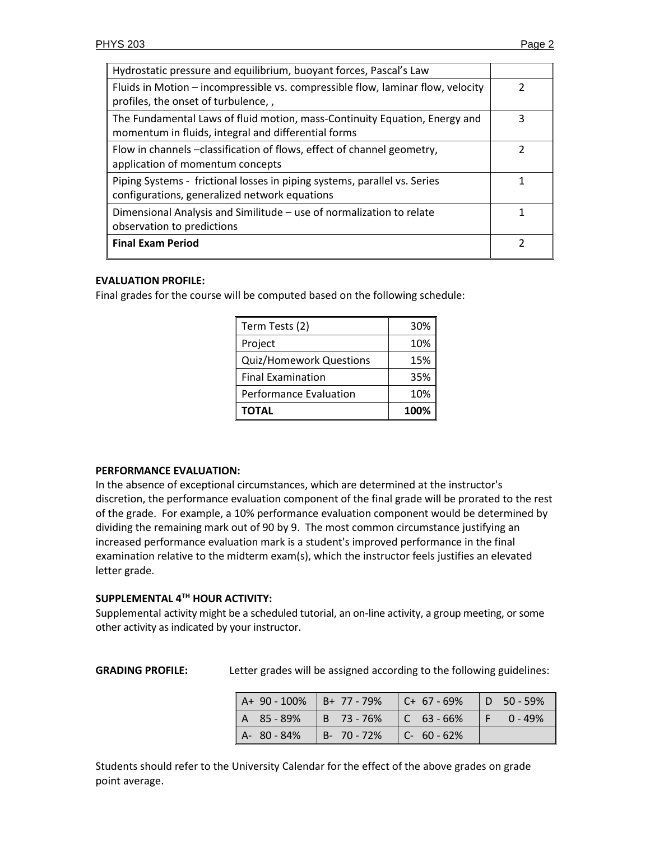| Hydrostatic pressure and equilibrium, buoyant forces, Pascal's Law                                                                |   |  |  |
|-----------------------------------------------------------------------------------------------------------------------------------|---|--|--|
| Fluids in Motion – incompressible vs. compressible flow, laminar flow, velocity<br>profiles, the onset of turbulence,             |   |  |  |
| The Fundamental Laws of fluid motion, mass-Continuity Equation, Energy and<br>momentum in fluids, integral and differential forms | 3 |  |  |
| Flow in channels -classification of flows, effect of channel geometry,<br>application of momentum concepts                        |   |  |  |
| Piping Systems - frictional losses in piping systems, parallel vs. Series<br>configurations, generalized network equations        |   |  |  |
| Dimensional Analysis and Similitude - use of normalization to relate<br>observation to predictions                                |   |  |  |
| <b>Final Exam Period</b>                                                                                                          |   |  |  |

# **EVALUATION PROFILE:**

Final grades for the course will be computed based on the following schedule:

| Term Tests (2)                 | 30%  |
|--------------------------------|------|
| Project                        | 10%  |
| <b>Quiz/Homework Questions</b> | 15%  |
| <b>Final Examination</b>       | 35%  |
| <b>Performance Evaluation</b>  | 10%  |
| <b>TOTAL</b>                   | 100% |

### **PERFORMANCE EVALUATION:**

In the absence of exceptional circumstances, which are determined at the instructor's discretion, the performance evaluation component of the final grade will be prorated to the rest of the grade. For example, a 10% performance evaluation component would be determined by dividing the remaining mark out of 90 by 9. The most common circumstance justifying an increased performance evaluation mark is a student's improved performance in the final examination relative to the midterm exam(s), which the instructor feels justifies an elevated letter grade.

### **SUPPLEMENTAL 4 TH HOUR ACTIVITY:**

Supplemental activity might be a scheduled tutorial, an on-line activity, a group meeting, or some other activity as indicated by your instructor.

**GRADING PROFILE:** Letter grades will be assigned according to the following guidelines:

| $\vert$ A+ 90 - 100% $\vert$ B+ 77 - 79% $\vert$ C+ 67 - 69% |                                         |  | $\vert$ D 50 - 59% |
|--------------------------------------------------------------|-----------------------------------------|--|--------------------|
| $A$ 85-89% B 73-76% C 63-66%                                 |                                         |  | $F = 0 - 49\%$     |
| A-80-84%                                                     | $\vert$ B- 70 - 72% $\vert$ C- 60 - 62% |  |                    |

Students should refer to the University Calendar for the effect of the above grades on grade point average.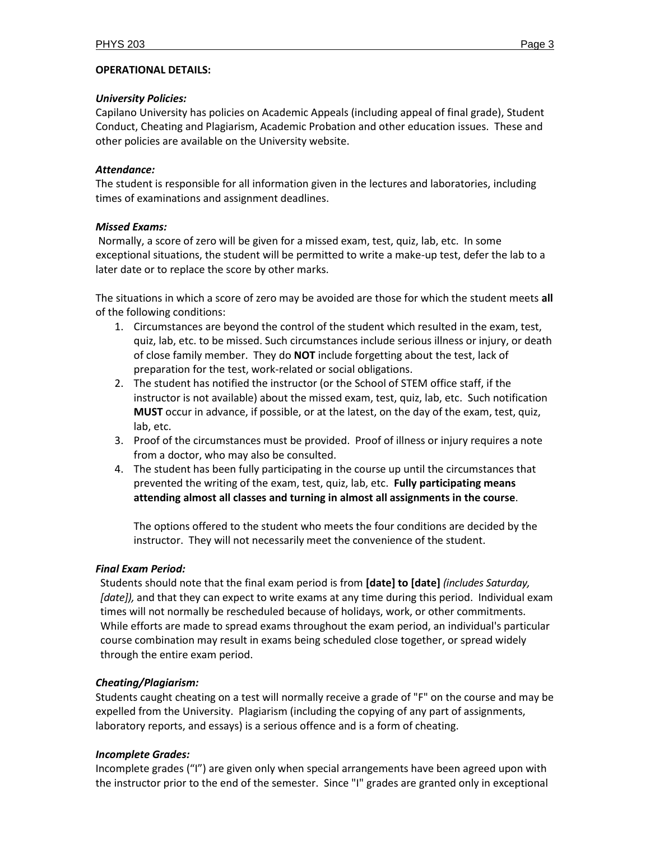### **OPERATIONAL DETAILS:**

### *University Policies:*

Capilano University has policies on Academic Appeals (including appeal of final grade), Student Conduct, Cheating and Plagiarism, Academic Probation and other education issues. These and other policies are available on the University website.

# *Attendance:*

The student is responsible for all information given in the lectures and laboratories, including times of examinations and assignment deadlines.

# *Missed Exams:*

Normally, a score of zero will be given for a missed exam, test, quiz, lab, etc. In some exceptional situations, the student will be permitted to write a make-up test, defer the lab to a later date or to replace the score by other marks.

The situations in which a score of zero may be avoided are those for which the student meets **all** of the following conditions:

- 1. Circumstances are beyond the control of the student which resulted in the exam, test, quiz, lab, etc. to be missed. Such circumstances include serious illness or injury, or death of close family member. They do **NOT** include forgetting about the test, lack of preparation for the test, work-related or social obligations.
- 2. The student has notified the instructor (or the School of STEM office staff, if the instructor is not available) about the missed exam, test, quiz, lab, etc. Such notification **MUST** occur in advance, if possible, or at the latest, on the day of the exam, test, quiz, lab, etc.
- 3. Proof of the circumstances must be provided. Proof of illness or injury requires a note from a doctor, who may also be consulted.
- 4. The student has been fully participating in the course up until the circumstances that prevented the writing of the exam, test, quiz, lab, etc. **Fully participating means attending almost all classes and turning in almost all assignments in the course**.

The options offered to the student who meets the four conditions are decided by the instructor. They will not necessarily meet the convenience of the student.

# *Final Exam Period:*

Students should note that the final exam period is from **[date] to [date]** *(includes Saturday, [date]),* and that they can expect to write exams at any time during this period. Individual exam times will not normally be rescheduled because of holidays, work, or other commitments. While efforts are made to spread exams throughout the exam period, an individual's particular course combination may result in exams being scheduled close together, or spread widely through the entire exam period.

# *Cheating/Plagiarism:*

Students caught cheating on a test will normally receive a grade of "F" on the course and may be expelled from the University. Plagiarism (including the copying of any part of assignments, laboratory reports, and essays) is a serious offence and is a form of cheating.

# *Incomplete Grades:*

Incomplete grades ("I") are given only when special arrangements have been agreed upon with the instructor prior to the end of the semester. Since "I" grades are granted only in exceptional